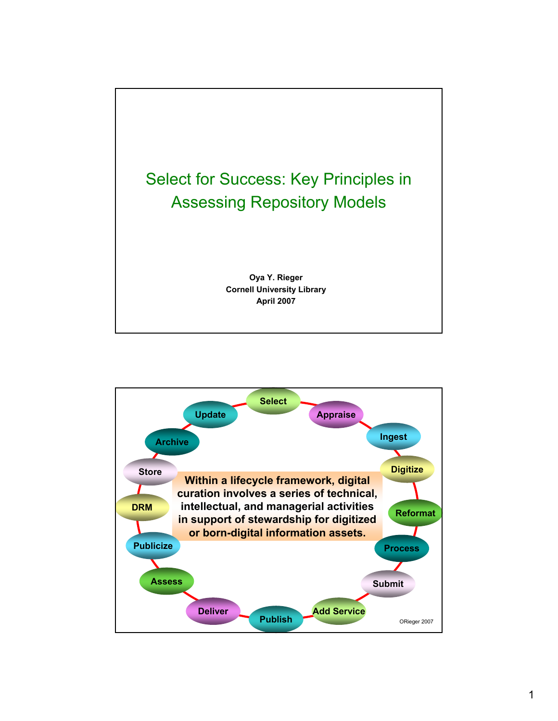

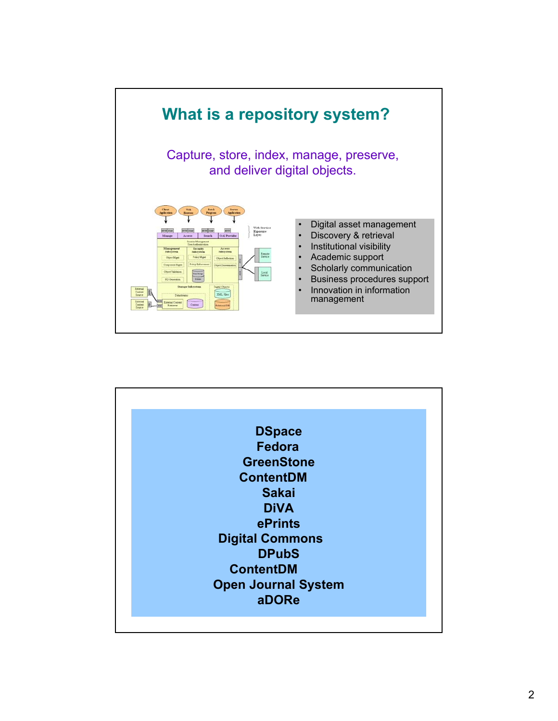

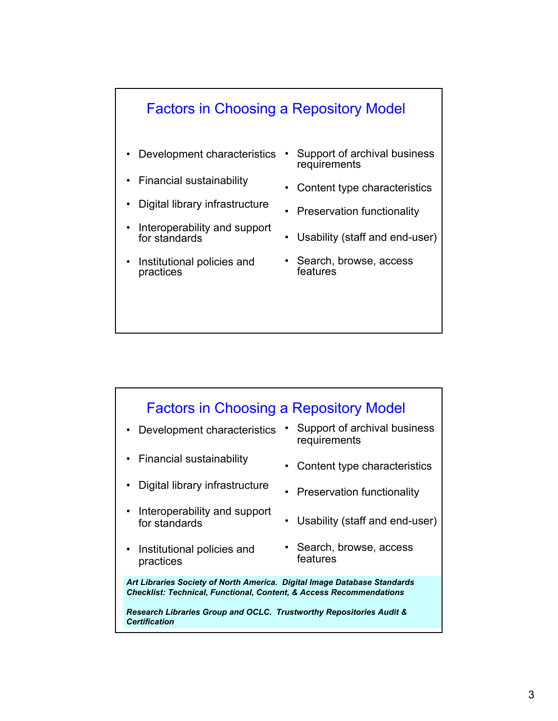## Factors in Choosing a Repository Model

- **Development characteristics**
- Financial sustainability
- Digital library infrastructure
- Interoperability and support for standards
- Institutional policies and practices
- Support of archival business requirements
- Content type characteristics
- Preservation functionality
- Usability (staff and end-user)
- Search, browse, access features

### Factors in Choosing a Repository Model

- Development characteristics Support of archival business
- Financial sustainability
- Digital library infrastructure
- Interoperability and support for standards
- Institutional policies and practices
- requirements
- Content type characteristics
- Preservation functionality
- Usability (staff and end-user)
- Search, browse, access features

*Art Libraries Society of North America. Digital Image Database Standards Checklist: Technical, Functional, Content, & Access Recommendations* 

*Research Libraries Group and OCLC. Trustworthy Repositories Audit & Certification*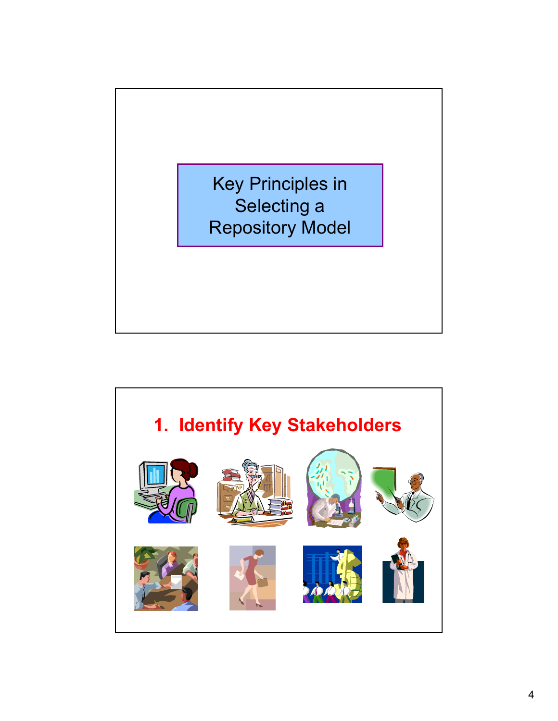

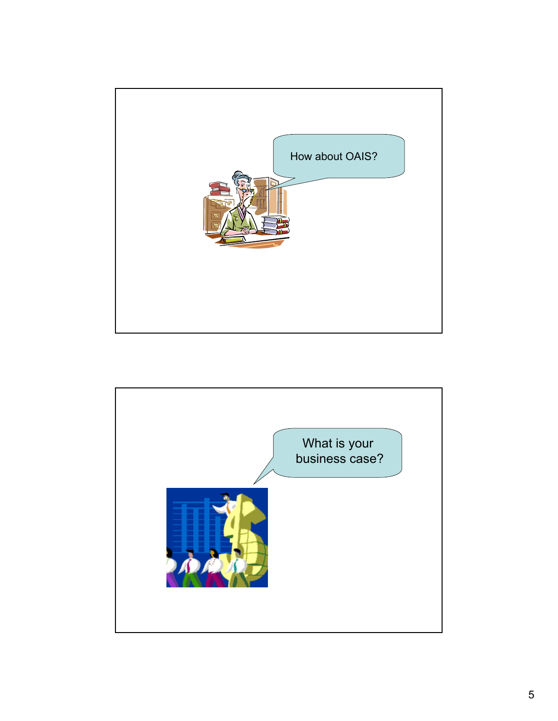

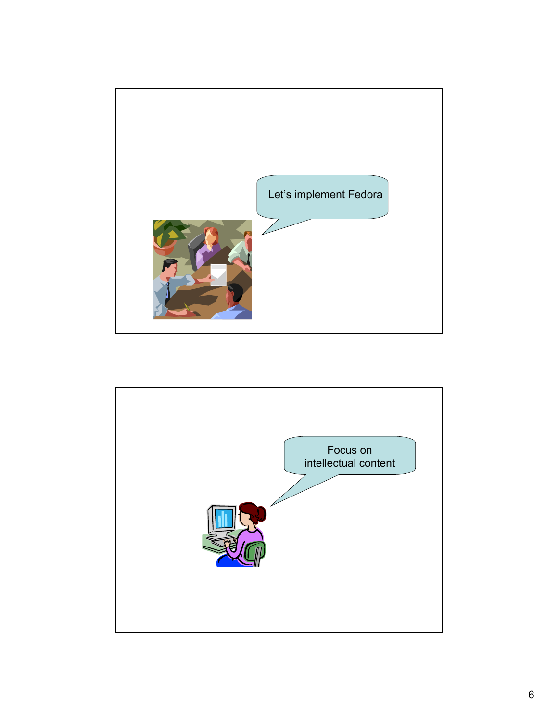

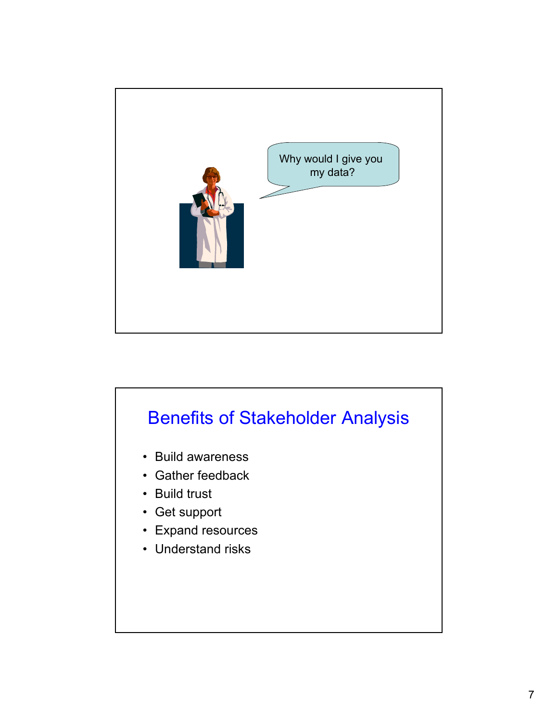

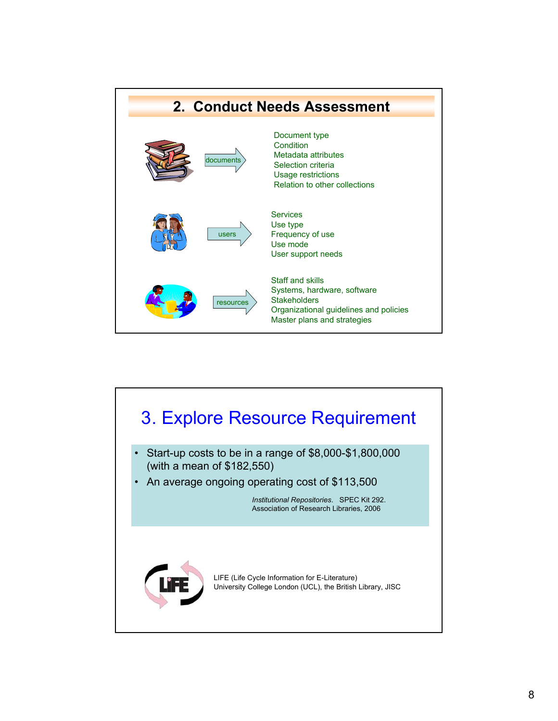

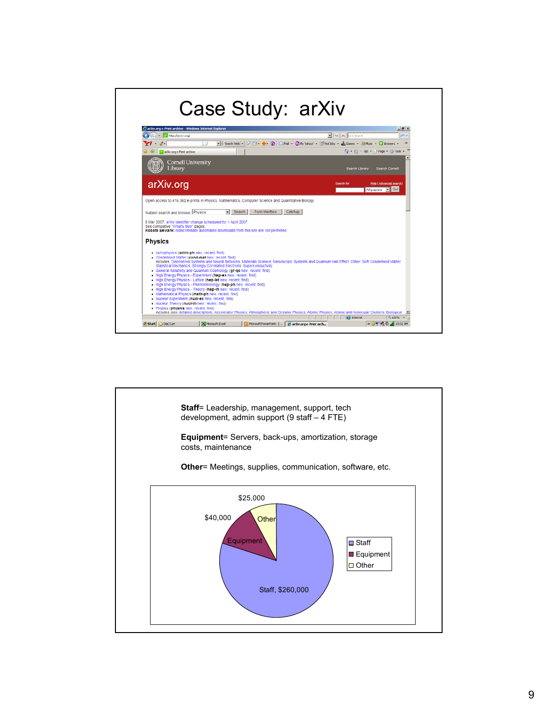#### Case Study: arXiv arXiv.org e-Print archive - Win  $-10 \times$  $\begin{array}{|c|c|c|}\hline \textbf{v} & \textbf{4} & \textbf{5} & \textbf{6} & \textbf{7} \\\hline \textbf{v} & \textbf{14} & \textbf{26} & \textbf{5} & \textbf{6} & \textbf{7} \\\hline \end{array}$ G  $\bigcirc$  +  $\bigcirc$  Mtp://aniv.org/ اهرا -<br>■ Search Web - 2 日 - 劃 - ③ | □Mal - ③My Yahoo! - ③ Hettebs - ▲ Gomes - 每 Music - Q Arowers - →  $\mathbf{Y}^{t+2}$ and a r dr **Co** an Win.org e-Print and ive T  $\bigoplus$  +  $\bigoplus$  +  $\bigoplus$  +  $\bigoplus$  Page +  $\bigoplus$  Tools +  $^2$ Cornell University arXiv.org г All papers F Gol Open access to 416,362 e-prints in Physics, Mathematics, Computer Science and Quantitative Biology Subject search and browse: Physics The Search Form Interface Catchup 8 Mar 2007: arXiv identifier change scheduled for 1 April 2007.<br>See cumulative "What's Rew" pages.<br>Robots Beware: indiscriminate automated downloads from this site are not permitted. **Physics** . Astrophysics (astro-ph new, recent, find) Astrophysic (astro-phine), recent, find)<br>Condensed Matter (cond-matine), recent, find)<br>Includes: Disordered Systems and Neural Nehmicks: Materials Science: Mesoscopic Systems and Quantum Hall Effect; Other; Soft Condensed - Mathematical Physics (math-ph new, recent, find)<br>- Nuclear Experiment (muclear mean, recent, find)<br>- Nuclear Theory (muclear mean, find)<br>- Nuclear Theory (muclear mean, find)<br>- Includes (see detailed description) Acceler 즈 2 Start <mark>Congcour | Mintrosoft Excel | Gi</mark>l Microsoft PowerPoint | ManXiv.org e-Print arch... ( ( ) B<sup>o</sup> 哦 @ di 10:32 AM

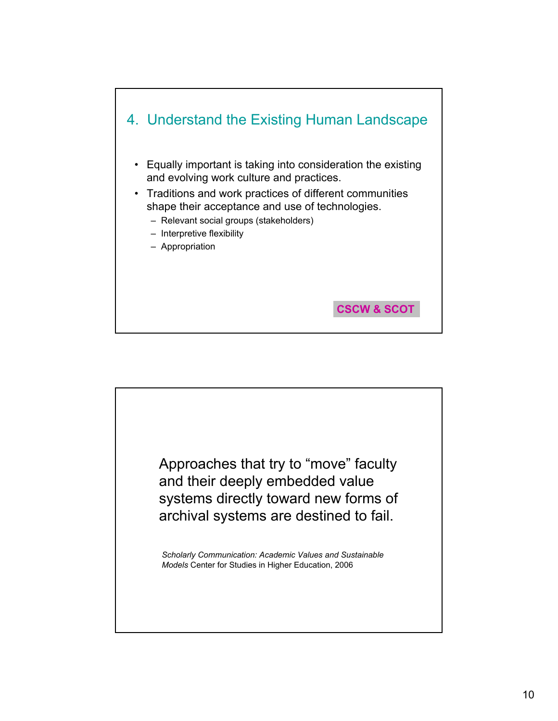

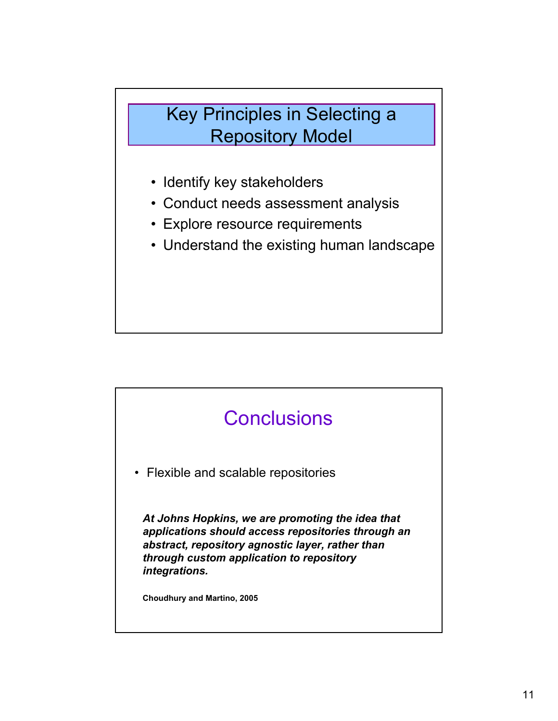## Key Principles in Selecting a Repository Model

- Identify key stakeholders
- Conduct needs assessment analysis
- Explore resource requirements
- Understand the existing human landscape

# **Conclusions**

• Flexible and scalable repositories

*At Johns Hopkins, we are promoting the idea that applications should access repositories through an abstract, repository agnostic layer, rather than through custom application to repository integrations.*

**Choudhury and Martino, 2005**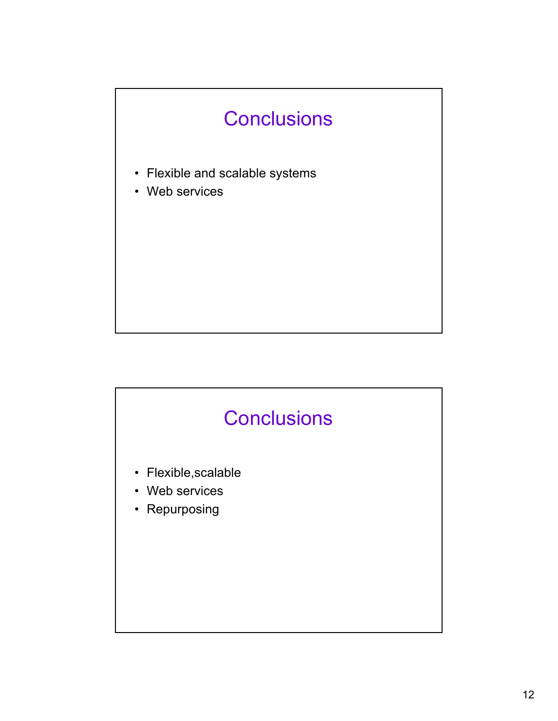